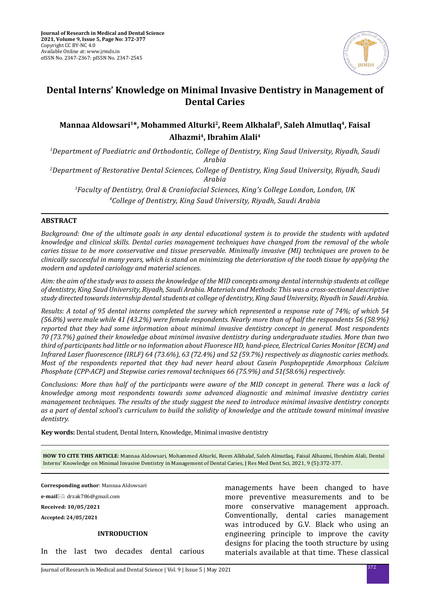

# **Dental Interns' Knowledge on Minimal Invasive Dentistry in Management of Dental Caries**

## Mannaa Aldowsari<sup>1\*</sup>, Mohammed Alturki<sup>2</sup>, Reem Alkhalaf<sup>3</sup>, Saleh Almutlaq<sup>4</sup>, Faisal **Alhazmi4, Ibrahim Alali4**

*1 Department of Paediatric and Orthodontic, College of Dentistry, King Saud University, Riyadh, Saudi Arabia*

*2 Department of Restorative Dental Sciences, College of Dentistry, King Saud University, Riyadh, Saudi Arabia*

*3 Faculty of Dentistry, Oral & Craniofacial Sciences, King's College London, London, UK 4 College of Dentistry, King Saud University, Riyadh, Saudi Arabia*

#### **ABSTRACT**

*Background: One of the ultimate goals in any dental educational system is to provide the students with updated knowledge and clinical skills. Dental caries management techniques have changed from the removal of the whole caries tissue to be more conservative and tissue preservable. Minimally invasive (MI) techniques are proven to be clinically successful in many years, which is stand on minimizing the deterioration of the tooth tissue by applying the modern and updated cariology and material sciences.* 

*Aim: the aim of the study was to assess the knowledge of the MID concepts among dental internship students at college of dentistry, King Saud University, Riyadh, Saudi Arabia. Materials and Methods: This was a cross-sectional descriptive study directed towards internship dental students at college of dentistry, King Saud University, Riyadh in Saudi Arabia.* 

*Results: A total of 95 dental interns completed the survey which represented a response rate of 74%; of which 54 (56.8%) were male while 41 (43.2%) were female respondents. Nearly more than of half the respondents 56 (58.9%) reported that they had some information about minimal invasive dentistry concept in general. Most respondents 70 (73.7%) gained their knowledge about minimal invasive dentistry during undergraduate studies. More than two third of participants had little or no information about Fluoresce HD, hand-piece, Electrical Caries Monitor (ECM) and Infrared Laser fluorescence (IRLF) 64 (73.6%), 63 (72.4%) and 52 (59.7%) respectively as diagnostic caries methods. Most of the respondents reported that they had never heard about Casein Posphopeptide Amorphous Calcium Phosphate (CPP-ACP) and Stepwise caries removal techniques 66 (75.9%) and 51(58.6%) respectively.* 

*Conclusions: More than half of the participants were aware of the MID concept in general. There was a lack of knowledge among most respondents towards some advanced diagnostic and minimal invasive dentistry caries management techniques. The results of the study suggest the need to introduce minimal invasive dentistry concepts as a part of dental school's curriculum to build the solidity of knowledge and the attitude toward minimal invasive dentistry.*

**Key words:** Dental student, Dental Intern, Knowledge, Minimal invasive dentistry

**HOW TO CITE THIS ARTICLE**: Mannaa Aldowsari, Mohammed Alturki, Reem Alkhalaf, Saleh Almutlaq, Faisal Alhazmi, Ibrahim Alali, Dental Interns' Knowledge on Minimal Invasive Dentistry in Management of Dental Caries, J Res Med Dent Sci, 2021, 9 (5):372-377.

**Corresponding author**: Mannaa Aldowsari

**e-mail**: drzak786@gmail.com

**Received: 10/05/2021**

**Accepted: 24/05/2021**

#### **INTRODUCTION**

In the last two decades dental carious

managements have been changed to have more preventive measurements and to be more conservative management approach. Conventionally, dental caries management was introduced by G.V. Black who using an engineering principle to improve the cavity designs for placing the tooth structure by using materials available at that time. These classical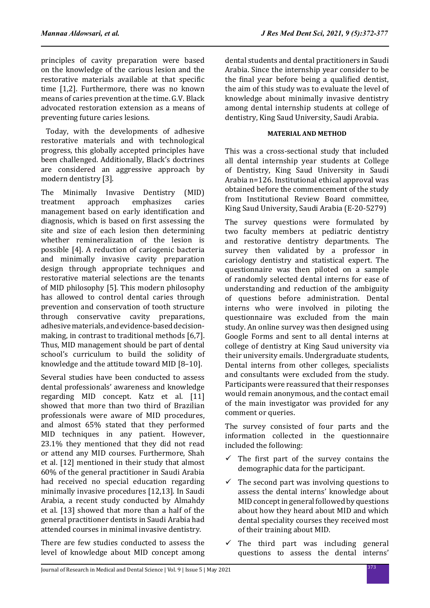principles of cavity preparation were based on the knowledge of the carious lesion and the restorative materials available at that specific time [1,2]. Furthermore, there was no known means of caries prevention at the time. G.V. Black advocated restoration extension as a means of preventing future caries lesions.

 Today, with the developments of adhesive restorative materials and with technological progress, this globally accepted principles have been challenged. Additionally, Black's doctrines are considered an aggressive approach by modern dentistry [3].

The Minimally Invasive Dentistry (MID)<br>treatment approach emphasizes caries emphasizes management based on early identification and diagnosis, which is based on first assessing the site and size of each lesion then determining whether remineralization of the lesion is possible [4]. A reduction of cariogenic bacteria and minimally invasive cavity preparation design through appropriate techniques and restorative material selections are the tenants of MID philosophy [5]. This modern philosophy has allowed to control dental caries through prevention and conservation of tooth structure through conservative cavity preparations, adhesive materials, and evidence-based decisionmaking, in contrast to traditional methods [6,7]. Thus, MID management should be part of dental school's curriculum to build the solidity of knowledge and the attitude toward MID [8–10].

Several studies have been conducted to assess dental professionals' awareness and knowledge regarding MID concept. Katz et al. [11] showed that more than two third of Brazilian professionals were aware of MID procedures, and almost 65% stated that they performed MID techniques in any patient. However, 23.1% they mentioned that they did not read or attend any MID courses. Furthermore, Shah et al. [12] mentioned in their study that almost 60% of the general practitioner in Saudi Arabia had received no special education regarding minimally invasive procedures [12,13]. In Saudi Arabia, a recent study conducted by Almahdy et al. [13] showed that more than a half of the general practitioner dentists in Saudi Arabia had attended courses in minimal invasive dentistry.

There are few studies conducted to assess the level of knowledge about MID concept among dental students and dental practitioners in Saudi Arabia. Since the internship year consider to be the final year before being a qualified dentist, the aim of this study was to evaluate the level of knowledge about minimally invasive dentistry among dental internship students at college of dentistry, King Saud University, Saudi Arabia.

## **MATERIAL AND METHOD**

This was a cross-sectional study that included all dental internship year students at College of Dentistry, King Saud University in Saudi Arabia n=126. Institutional ethical approval was obtained before the commencement of the study from Institutional Review Board committee, King Saud University, Saudi Arabia (E-20-5279)

The survey questions were formulated by two faculty members at pediatric dentistry and restorative dentistry departments. The survey then validated by a professor in cariology dentistry and statistical expert. The questionnaire was then piloted on a sample of randomly selected dental interns for ease of understanding and reduction of the ambiguity of questions before administration. Dental interns who were involved in piloting the questionnaire was excluded from the main study. An online survey was then designed using Google Forms and sent to all dental interns at college of dentistry at King Saud university via their university emails. Undergraduate students, Dental interns from other colleges, specialists and consultants were excluded from the study. Participants were reassured that their responses would remain anonymous, and the contact email of the main investigator was provided for any comment or queries.

The survey consisted of four parts and the information collected in the questionnaire included the following:

- $\checkmark$  The first part of the survey contains the demographic data for the participant.
- $\checkmark$  The second part was involving questions to assess the dental interns' knowledge about MID concept in general followed by questions about how they heard about MID and which dental speciality courses they received most of their training about MID.
- $\checkmark$  The third part was including general questions to assess the dental interns'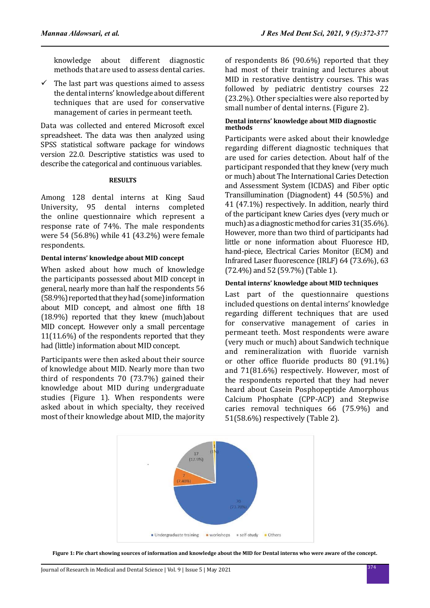knowledge about different diagnostic methods that are used to assess dental caries.

 $\checkmark$  The last part was questions aimed to assess the dental interns' knowledge about different techniques that are used for conservative management of caries in permeant teeth.

Data was collected and entered Microsoft excel spreadsheet. The data was then analyzed using SPSS statistical software package for windows version 22.0. Descriptive statistics was used to describe the categorical and continuous variables.

#### **RESULTS**

Among 128 dental interns at King Saud University, 95 dental interns completed the online questionnaire which represent a response rate of 74%. The male respondents were 54 (56.8%) while 41 (43.2%) were female respondents.

#### **Dental interns' knowledge about MID concept**

When asked about how much of knowledge the participants possessed about MID concept in general, nearly more than half the respondents 56 (58.9%) reported that they had (some) information about MID concept, and almost one fifth 18 (18.9%) reported that they knew (much)about MID concept. However only a small percentage 11(11.6%) of the respondents reported that they had (little) information about MID concept.

Participants were then asked about their source of knowledge about MID. Nearly more than two third of respondents 70 (73.7%) gained their knowledge about MID during undergraduate studies (Figure 1). When respondents were asked about in which specialty, they received most of their knowledge about MID, the majority of respondents 86 (90.6%) reported that they had most of their training and lectures about MID in restorative dentistry courses. This was followed by pediatric dentistry courses 22 (23.2%). Other specialties were also reported by small number of dental interns. (Figure 2).

#### **Dental interns' knowledge about MID diagnostic methods**

Participants were asked about their knowledge regarding different diagnostic techniques that are used for caries detection. About half of the participant responded that they knew (very much or much) about The International Caries Detection and Assessment System (ICDAS) and Fiber optic Transillumination (Diagnodent) 44 (50.5%) and 41 (47.1%) respectively. In addition, nearly third of the participant knew Caries dyes (very much or much) as a diagnostic method for caries 31(35.6%). However, more than two third of participants had little or none information about Fluoresce HD, hand-piece, Electrical Caries Monitor (ECM) and Infrared Laser fluorescence (IRLF) 64 (73.6%), 63 (72.4%) and 52 (59.7%) (Table 1).

#### **Dental interns' knowledge about MID techniques**

Last part of the questionnaire questions included questions on dental interns' knowledge regarding different techniques that are used for conservative management of caries in permeant teeth. Most respondents were aware (very much or much) about Sandwich technique and remineralization with fluoride varnish or other office fluoride products 80 (91.1%) and 71(81.6%) respectively. However, most of the respondents reported that they had never heard about Casein Posphopeptide Amorphous Calcium Phosphate (CPP-ACP) and Stepwise caries removal techniques 66 (75.9%) and 51(58.6%) respectively (Table 2).



**Figure 1: Pie chart showing sources of information and knowledge about the MID for Dental interns who were aware of the concept.**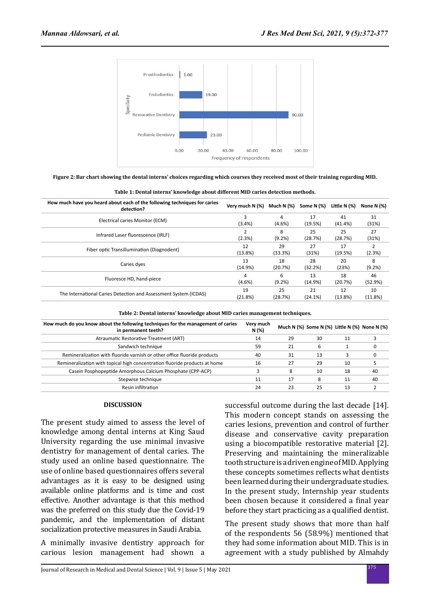

**Figure 2: Bar chart showing the dental interns' choices regarding which courses they received most of their training regarding MID.**

**Table 1: Dental interns' knowledge about different MID caries detection methods.**

| How much have you heard about each of the following techniques for caries<br>detection? | Very much N (%) | Much N (%) | Some N (%) | Little N (%) | None N $(%)$ |
|-----------------------------------------------------------------------------------------|-----------------|------------|------------|--------------|--------------|
|                                                                                         | з               | 4          | 17         | 41           | 31           |
| Electrical caries Monitor (ECM)                                                         | (3.4%)          | (4.6%)     | (19.5%)    | (41.4%)      | (31%)        |
|                                                                                         |                 | 8          | 25         | 25           | 27           |
| Infrared Laser fluorescence (IRLF)                                                      | (2.3%)          | (9.2%)     | (28.7%)    | (28.7%)      | (31%)        |
| Fiber optic Transillumination (Diagnodent)                                              | 12              | 29         | 27         | 17           |              |
|                                                                                         | (13.8%)         | (33.3%)    | (31%)      | (19.5%)      | (2.3%)       |
|                                                                                         | 13              | 18         | 28         | 20           | 8            |
| Caries dyes                                                                             | (14.9%)         | (20.7%)    | (32.2%)    | (23%)        | (9.2%)       |
| Fluoresce HD, hand-piece                                                                | 4               | 6          | 13         | 18           | 46           |
|                                                                                         | $(4.6\%)$       | (9.2%)     | (14.9%)    | (20.7%)      | (52.9%)      |
|                                                                                         | 19              | 25         | 21         | 12           | 10           |
| The International Caries Detection and Assessment System (ICDAS)                        | (21.8%)         | (28.7%)    | (24.1%)    | (13.8%)      | (11.8%)      |
|                                                                                         |                 |            |            |              |              |

|  |  |  | Table 2: Dental interns' knowledge about MID caries management techniques. |  |
|--|--|--|----------------------------------------------------------------------------|--|
|  |  |  |                                                                            |  |

| How much do you know about the following techniques for the management of caries<br>in permanent teeth? | Very much<br>N (%) |    |    |    | Much N (%) Some N (%) Little N (%) None N (%) |
|---------------------------------------------------------------------------------------------------------|--------------------|----|----|----|-----------------------------------------------|
| Atraumatic Restorative Treatment (ART)                                                                  | 14                 | 29 | 30 | 11 |                                               |
| Sandwich technique                                                                                      | 59                 | 21 | 6  |    |                                               |
| Remineralization with fluoride varnish or other office fluoride products                                | 40                 | 31 | 13 |    |                                               |
| Remineralization with topical high concentration fluoride products at home                              | 16                 | 27 | 29 | 10 |                                               |
| Casein Posphopeptide Amorphous Calcium Phosphate (CPP-ACP)                                              |                    | 8  | 10 | 18 | 40                                            |
| Stepwise technique                                                                                      | 11                 | 17 | 8  | 11 | 40                                            |
| Resin infiltration                                                                                      | 24                 | 23 | 25 | 13 |                                               |

#### **DISCUSSION**

The present study aimed to assess the level of knowledge among dental interns at King Saud University regarding the use minimal invasive dentistry for management of dental caries. The study used an online based questionnaire. The use of online based questionnaires offers several advantages as it is easy to be designed using available online platforms and is time and cost effective. Another advantage is that this method was the preferred on this study due the Covid-19 pandemic, and the implementation of distant socialization protective measures in Saudi Arabia.

A minimally invasive dentistry approach for carious lesion management had shown a successful outcome during the last decade [14]. This modern concept stands on assessing the caries lesions, prevention and control of further disease and conservative cavity preparation using a biocompatible restorative material [2]. Preserving and maintaining the mineralizable tooth structure is a driven engine of MID. Applying these concepts sometimes reflects what dentists been learned during their undergraduate studies. In the present study, Internship year students been chosen because it considered a final year before they start practicing as a qualified dentist.

The present study shows that more than half of the respondents 56 (58.9%) mentioned that they had some information about MID. This is in agreement with a study published by Almahdy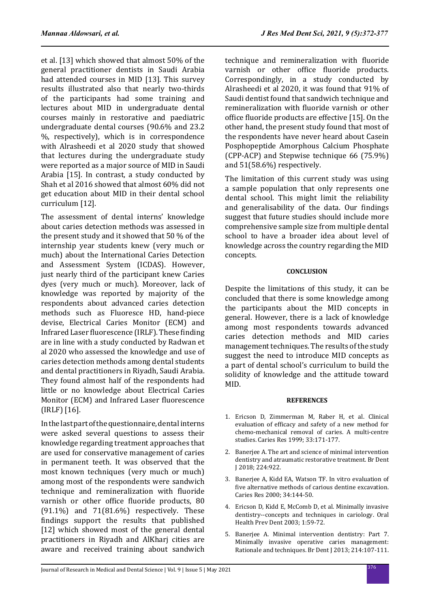et al. [13] which showed that almost 50% of the general practitioner dentists in Saudi Arabia had attended courses in MID [13]. This survey results illustrated also that nearly two-thirds of the participants had some training and lectures about MID in undergraduate dental courses mainly in restorative and paediatric undergraduate dental courses (90.6% and 23.2 %, respectively), which is in correspondence with Alrasheedi et al 2020 study that showed that lectures during the undergraduate study were reported as a major source of MID in Saudi Arabia [15]. In contrast, a study conducted by Shah et al 2016 showed that almost 60% did not get education about MID in their dental school curriculum [12].

The assessment of dental interns' knowledge about caries detection methods was assessed in the present study and it showed that 50 % of the internship year students knew (very much or much) about the International Caries Detection and Assessment System (ICDAS). However, just nearly third of the participant knew Caries dyes (very much or much). Moreover, lack of knowledge was reported by majority of the respondents about advanced caries detection methods such as Fluoresce HD, hand-piece devise, Electrical Caries Monitor (ECM) and Infrared Laser fluorescence (IRLF). These finding are in line with a study conducted by Radwan et al 2020 who assessed the knowledge and use of caries detection methods among dental students and dental practitioners in Riyadh, Saudi Arabia. They found almost half of the respondents had little or no knowledge about Electrical Caries Monitor (ECM) and Infrared Laser fluorescence (IRLF) [16].

In the last part of the questionnaire, dental interns were asked several questions to assess their knowledge regarding treatment approaches that are used for conservative management of caries in permanent teeth. It was observed that the most known techniques (very much or much) among most of the respondents were sandwich technique and remineralization with fluoride varnish or other office fluoride products, 80  $(91.1\%)$  and  $71(81.6\%)$  respectively. These findings support the results that published [12] which showed most of the general dental practitioners in Riyadh and AlKharj cities are aware and received training about sandwich technique and remineralization with fluoride varnish or other office fluoride products. Correspondingly, in a study conducted by Alrasheedi et al 2020, it was found that 91% of Saudi dentist found that sandwich technique and remineralization with fluoride varnish or other office fluoride products are effective [15]. On the other hand, the present study found that most of the respondents have never heard about Casein Posphopeptide Amorphous Calcium Phosphate  $(CPP-ACP)$  and Stepwise technique 66 (75.9%) and 51(58.6%) respectively.

The limitation of this current study was using a sample population that only represents one dental school. This might limit the reliability and generalisability of the data. Our findings suggest that future studies should include more comprehensive sample size from multiple dental school to have a broader idea about level of knowledge across the country regarding the MID concepts.

## **CONCLUSION**

Despite the limitations of this study, it can be concluded that there is some knowledge among the participants about the MID concepts in general. However, there is a lack of knowledge among most respondents towards advanced caries detection methods and MID caries management techniques. The results of the study suggest the need to introduce MID concepts as a part of dental school's curriculum to build the solidity of knowledge and the attitude toward MID.

## **REFERENCES**

- 1. Ericson D, Zimmerman M, Raber H, et al. Clinical evaluation of efficacy and safety of a new method for chemo-mechanical removal of caries. A multi-centre studies. Caries Res 1999; 33:171-177.
- 2. Banerjee A. The art and science of minimal intervention dentistry and atraumatic restorative treatment. Br Dent J 2018; 224:922.
- 3. Banerjee A, Kidd EA, Watson TF. In vitro evaluation of five alternative methods of carious dentine excavation. Caries Res 2000; 34:144-50.
- 4. Ericson D, Kidd E, McComb D, et al. Minimally invasive dentistry--concepts and techniques in cariology. Oral Health Prev Dent 2003; 1:59-72.
- 5. Banerjee A. Minimal intervention dentistry: Part 7. Minimally invasive operative caries management: Rationale and techniques. Br Dent J 2013; 214:107-111.